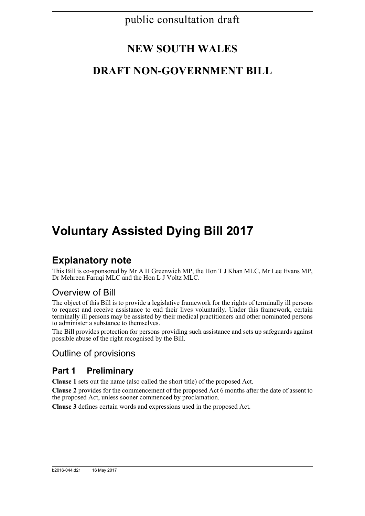# **NEW SOUTH WALES**

## **DRAFT NON-GOVERNMENT BILL**

# **Voluntary Assisted Dying Bill 2017**

## **Explanatory note**

This Bill is co-sponsored by Mr A H Greenwich MP, the Hon T J Khan MLC, Mr Lee Evans MP, Dr Mehreen Faruqi MLC and the Hon L J Voltz MLC.

## Overview of Bill

The object of this Bill is to provide a legislative framework for the rights of terminally ill persons to request and receive assistance to end their lives voluntarily. Under this framework, certain terminally ill persons may be assisted by their medical practitioners and other nominated persons to administer a substance to themselves.

The Bill provides protection for persons providing such assistance and sets up safeguards against possible abuse of the right recognised by the Bill.

## Outline of provisions

### **Part 1 Preliminary**

**Clause 1** sets out the name (also called the short title) of the proposed Act.

**Clause 2** provides for the commencement of the proposed Act 6 months after the date of assent to the proposed Act, unless sooner commenced by proclamation.

**Clause 3** defines certain words and expressions used in the proposed Act.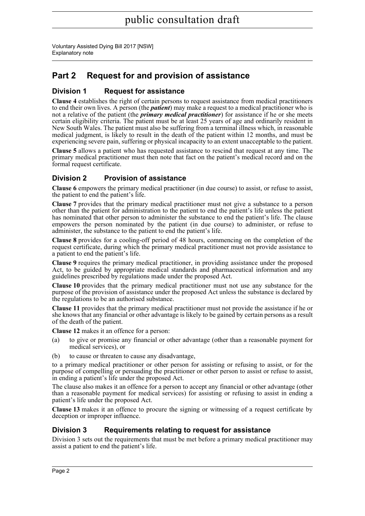Voluntary Assisted Dying Bill 2017 [NSW] Explanatory note

## **Part 2 Request for and provision of assistance**

### **Division 1 Request for assistance**

**Clause 4** establishes the right of certain persons to request assistance from medical practitioners to end their own lives. A person (the *patient*) may make a request to a medical practitioner who is not a relative of the patient (the *primary medical practitioner*) for assistance if he or she meets certain eligibility criteria. The patient must be at least 25 years of age and ordinarily resident in New South Wales. The patient must also be suffering from a terminal illness which, in reasonable medical judgment, is likely to result in the death of the patient within 12 months, and must be experiencing severe pain, suffering or physical incapacity to an extent unacceptable to the patient.

**Clause 5** allows a patient who has requested assistance to rescind that request at any time. The primary medical practitioner must then note that fact on the patient's medical record and on the formal request certificate.

### **Division 2 Provision of assistance**

**Clause 6** empowers the primary medical practitioner (in due course) to assist, or refuse to assist, the patient to end the patient's life.

**Clause 7** provides that the primary medical practitioner must not give a substance to a person other than the patient for administration to the patient to end the patient's life unless the patient has nominated that other person to administer the substance to end the patient's life. The clause empowers the person nominated by the patient (in due course) to administer, or refuse to administer, the substance to the patient to end the patient's life.

**Clause 8** provides for a cooling-off period of 48 hours, commencing on the completion of the request certificate, during which the primary medical practitioner must not provide assistance to a patient to end the patient's life.

**Clause 9** requires the primary medical practitioner, in providing assistance under the proposed Act, to be guided by appropriate medical standards and pharmaceutical information and any guidelines prescribed by regulations made under the proposed Act.

**Clause 10** provides that the primary medical practitioner must not use any substance for the purpose of the provision of assistance under the proposed Act unless the substance is declared by the regulations to be an authorised substance.

**Clause 11** provides that the primary medical practitioner must not provide the assistance if he or she knows that any financial or other advantage is likely to be gained by certain persons as a result of the death of the patient.

**Clause 12** makes it an offence for a person:

- (a) to give or promise any financial or other advantage (other than a reasonable payment for medical services), or
- (b) to cause or threaten to cause any disadvantage,

to a primary medical practitioner or other person for assisting or refusing to assist, or for the purpose of compelling or persuading the practitioner or other person to assist or refuse to assist, in ending a patient's life under the proposed Act.

The clause also makes it an offence for a person to accept any financial or other advantage (other than a reasonable payment for medical services) for assisting or refusing to assist in ending a patient's life under the proposed Act.

**Clause 13** makes it an offence to procure the signing or witnessing of a request certificate by deception or improper influence.

#### **Division 3 Requirements relating to request for assistance**

Division 3 sets out the requirements that must be met before a primary medical practitioner may assist a patient to end the patient's life.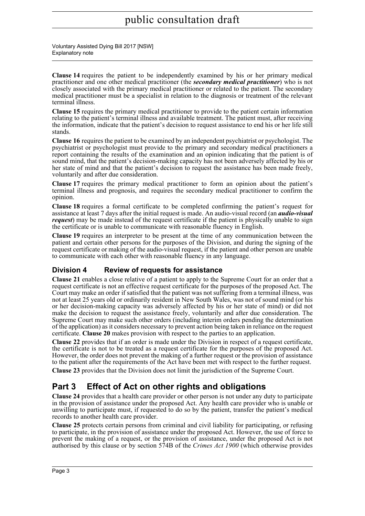Voluntary Assisted Dying Bill 2017 [NSW] Explanatory note

**Clause 14** requires the patient to be independently examined by his or her primary medical practitioner and one other medical practitioner (the *secondary medical practitioner*) who is not closely associated with the primary medical practitioner or related to the patient. The secondary medical practitioner must be a specialist in relation to the diagnosis or treatment of the relevant terminal illness.

**Clause 15** requires the primary medical practitioner to provide to the patient certain information relating to the patient's terminal illness and available treatment. The patient must, after receiving the information, indicate that the patient's decision to request assistance to end his or her life still stands.

**Clause 16** requires the patient to be examined by an independent psychiatrist or psychologist. The psychiatrist or psychologist must provide to the primary and secondary medical practitioners a report containing the results of the examination and an opinion indicating that the patient is of sound mind, that the patient's decision-making capacity has not been adversely affected by his or her state of mind and that the patient's decision to request the assistance has been made freely, voluntarily and after due consideration.

**Clause 17** requires the primary medical practitioner to form an opinion about the patient's terminal illness and prognosis, and requires the secondary medical practitioner to confirm the opinion.

**Clause 18** requires a formal certificate to be completed confirming the patient's request for assistance at least 7 days after the initial request is made. An audio-visual record (an *audio-visual request*) may be made instead of the request certificate if the patient is physically unable to sign the certificate or is unable to communicate with reasonable fluency in English.

**Clause 19** requires an interpreter to be present at the time of any communication between the patient and certain other persons for the purposes of the Division, and during the signing of the request certificate or making of the audio-visual request, if the patient and other person are unable to communicate with each other with reasonable fluency in any language.

### **Division 4 Review of requests for assistance**

**Clause 21** enables a close relative of a patient to apply to the Supreme Court for an order that a request certificate is not an effective request certificate for the purposes of the proposed Act. The Court may make an order if satisfied that the patient was not suffering from a terminal illness, was not at least 25 years old or ordinarily resident in New South Wales, was not of sound mind (or his or her decision-making capacity was adversely affected by his or her state of mind) or did not make the decision to request the assistance freely, voluntarily and after due consideration. The Supreme Court may make such other orders (including interim orders pending the determination of the application) as it considers necessary to prevent action being taken in reliance on the request certificate. **Clause 20** makes provision with respect to the parties to an application.

**Clause 22** provides that if an order is made under the Division in respect of a request certificate, the certificate is not to be treated as a request certificate for the purposes of the proposed Act. However, the order does not prevent the making of a further request or the provision of assistance to the patient after the requirements of the Act have been met with respect to the further request.

**Clause 23** provides that the Division does not limit the jurisdiction of the Supreme Court.

## **Part 3 Effect of Act on other rights and obligations**

**Clause 24** provides that a health care provider or other person is not under any duty to participate in the provision of assistance under the proposed Act. Any health care provider who is unable or unwilling to participate must, if requested to do so by the patient, transfer the patient's medical records to another health care provider.

**Clause 25** protects certain persons from criminal and civil liability for participating, or refusing to participate, in the provision of assistance under the proposed Act. However, the use of force to prevent the making of a request, or the provision of assistance, under the proposed Act is not authorised by this clause or by section 574B of the *Crimes Act 1900* (which otherwise provides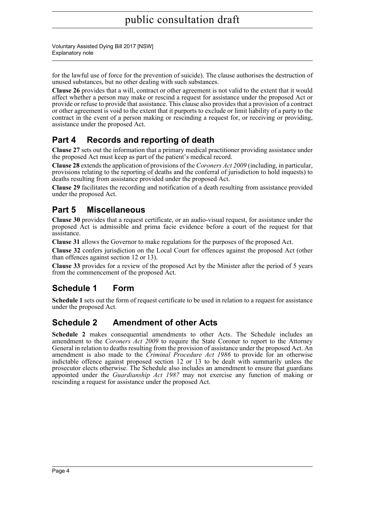Voluntary Assisted Dying Bill 2017 [NSW] Explanatory note

for the lawful use of force for the prevention of suicide). The clause authorises the destruction of unused substances, but no other dealing with such substances.

**Clause 26** provides that a will, contract or other agreement is not valid to the extent that it would affect whether a person may make or rescind a request for assistance under the proposed Act or provide or refuse to provide that assistance. This clause also provides that a provision of a contract or other agreement is void to the extent that it purports to exclude or limit liability of a party to the contract in the event of a person making or rescinding a request for, or receiving or providing, assistance under the proposed Act.

## **Part 4 Records and reporting of death**

**Clause 27** sets out the information that a primary medical practitioner providing assistance under the proposed Act must keep as part of the patient's medical record.

**Clause 28** extends the application of provisions of the *Coroners Act 2009* (including, in particular, provisions relating to the reporting of deaths and the conferral of jurisdiction to hold inquests) to deaths resulting from assistance provided under the proposed Act.

**Clause 29** facilitates the recording and notification of a death resulting from assistance provided under the proposed Act.

## **Part 5 Miscellaneous**

**Clause 30** provides that a request certificate, or an audio-visual request, for assistance under the proposed Act is admissible and prima facie evidence before a court of the request for that assistance.

**Clause 31** allows the Governor to make regulations for the purposes of the proposed Act.

**Clause 32** confers jurisdiction on the Local Court for offences against the proposed Act (other than offences against section 12 or 13).

**Clause 33** provides for a review of the proposed Act by the Minister after the period of 5 years from the commencement of the proposed Act.

### **Schedule 1 Form**

**Schedule 1** sets out the form of request certificate to be used in relation to a request for assistance under the proposed Act.

### **Schedule 2 Amendment of other Acts**

**Schedule 2** makes consequential amendments to other Acts. The Schedule includes an amendment to the *Coroners Act 2009* to require the State Coroner to report to the Attorney General in relation to deaths resulting from the provision of assistance under the proposed Act. An amendment is also made to the *Criminal Procedure Act 1986* to provide for an otherwise indictable offence against proposed section 12 or 13 to be dealt with summarily unless the prosecutor elects otherwise. The Schedule also includes an amendment to ensure that guardians appointed under the *Guardianship Act 1987* may not exercise any function of making or rescinding a request for assistance under the proposed Act.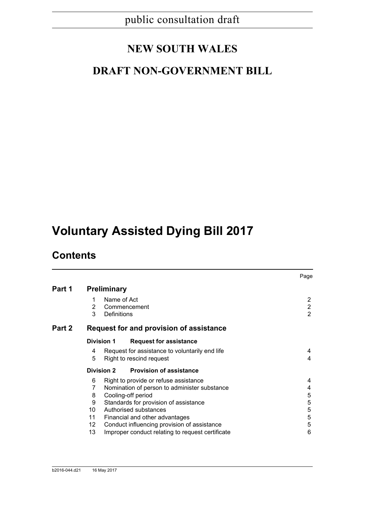# **NEW SOUTH WALES**

## **DRAFT NON-GOVERNMENT BILL**

# **Voluntary Assisted Dying Bill 2017**

## **Contents**

|        |                                                                                                                                                                                                                                                                                                                                                                             | Page                                               |  |  |  |  |
|--------|-----------------------------------------------------------------------------------------------------------------------------------------------------------------------------------------------------------------------------------------------------------------------------------------------------------------------------------------------------------------------------|----------------------------------------------------|--|--|--|--|
| Part 1 | <b>Preliminary</b>                                                                                                                                                                                                                                                                                                                                                          |                                                    |  |  |  |  |
|        | Name of Act<br>1<br>2<br>Commencement<br>3<br>Definitions                                                                                                                                                                                                                                                                                                                   | $\overline{2}$<br>$\overline{2}$<br>$\overline{2}$ |  |  |  |  |
| Part 2 | Request for and provision of assistance                                                                                                                                                                                                                                                                                                                                     |                                                    |  |  |  |  |
|        | <b>Division 1</b><br><b>Request for assistance</b>                                                                                                                                                                                                                                                                                                                          |                                                    |  |  |  |  |
|        | Request for assistance to voluntarily end life<br>4<br>5<br>Right to rescind request                                                                                                                                                                                                                                                                                        | 4<br>4                                             |  |  |  |  |
|        | <b>Division 2</b><br><b>Provision of assistance</b>                                                                                                                                                                                                                                                                                                                         |                                                    |  |  |  |  |
|        | Right to provide or refuse assistance<br>6<br>7<br>Nomination of person to administer substance<br>Cooling-off period<br>8<br>9<br>Standards for provision of assistance<br>10 <sup>1</sup><br>Authorised substances<br>11<br>Financial and other advantages<br>12<br>Conduct influencing provision of assistance<br>Improper conduct relating to request certificate<br>13 | 4<br>4<br>5<br>5<br>5<br>$\sqrt{5}$<br>5<br>6      |  |  |  |  |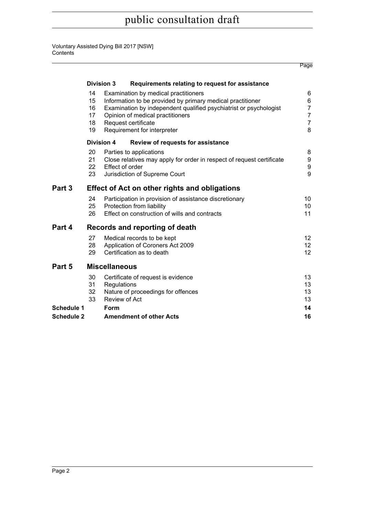#### Voluntary Assisted Dying Bill 2017 [NSW] **Contents**

|                                        |                                  |                              |                                                                                                                                                                                                                                                                   | Page                                                              |
|----------------------------------------|----------------------------------|------------------------------|-------------------------------------------------------------------------------------------------------------------------------------------------------------------------------------------------------------------------------------------------------------------|-------------------------------------------------------------------|
|                                        |                                  | <b>Division 3</b>            | Requirements relating to request for assistance                                                                                                                                                                                                                   |                                                                   |
|                                        | 14<br>15<br>16<br>17<br>18<br>19 |                              | Examination by medical practitioners<br>Information to be provided by primary medical practitioner<br>Examination by independent qualified psychiatrist or psychologist<br>Opinion of medical practitioners<br>Request certificate<br>Requirement for interpreter | 6<br>6<br>$\overline{7}$<br>$\overline{7}$<br>$\overline{7}$<br>8 |
|                                        |                                  | <b>Division 4</b>            | Review of requests for assistance                                                                                                                                                                                                                                 |                                                                   |
|                                        | 20<br>21<br>22<br>23             |                              | Parties to applications<br>Close relatives may apply for order in respect of request certificate<br>Effect of order<br>Jurisdiction of Supreme Court                                                                                                              | 8<br>9<br>$\boldsymbol{9}$<br>9                                   |
| Part 3                                 |                                  |                              | <b>Effect of Act on other rights and obligations</b>                                                                                                                                                                                                              |                                                                   |
|                                        | 24<br>25<br>26                   |                              | Participation in provision of assistance discretionary<br>Protection from liability<br>Effect on construction of wills and contracts                                                                                                                              | 10<br>10<br>11                                                    |
| Part 4                                 |                                  |                              | Records and reporting of death                                                                                                                                                                                                                                    |                                                                   |
|                                        | 27<br>28<br>29                   |                              | Medical records to be kept<br>Application of Coroners Act 2009<br>Certification as to death                                                                                                                                                                       | 12<br>12<br>12                                                    |
| Part 5                                 |                                  | <b>Miscellaneous</b>         |                                                                                                                                                                                                                                                                   |                                                                   |
|                                        | 30<br>31<br>32<br>33             | Regulations<br>Review of Act | Certificate of request is evidence<br>Nature of proceedings for offences                                                                                                                                                                                          | 13<br>13<br>13<br>13                                              |
| <b>Schedule 1</b><br><b>Schedule 2</b> |                                  | Form                         | <b>Amendment of other Acts</b>                                                                                                                                                                                                                                    | 14<br>16                                                          |
|                                        |                                  |                              |                                                                                                                                                                                                                                                                   |                                                                   |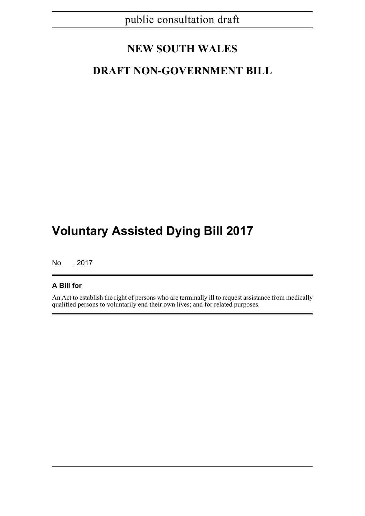## **NEW SOUTH WALES**

## **DRAFT NON-GOVERNMENT BILL**

# **Voluntary Assisted Dying Bill 2017**

No , 2017

#### **A Bill for**

An Act to establish the right of persons who are terminally ill to request assistance from medically qualified persons to voluntarily end their own lives; and for related purposes.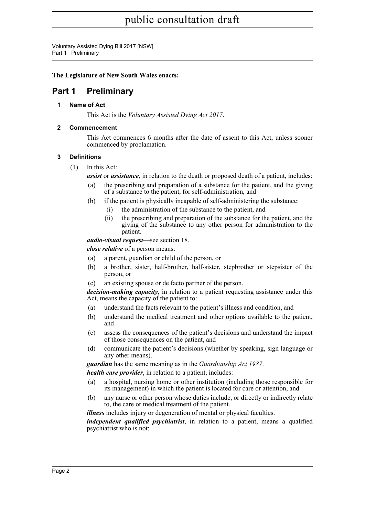Voluntary Assisted Dying Bill 2017 [NSW] Part 1 Preliminary

#### **The Legislature of New South Wales enacts:**

### <span id="page-7-1"></span><span id="page-7-0"></span>**Part 1 Preliminary**

#### **1 Name of Act**

This Act is the *Voluntary Assisted Dying Act 2017*.

#### <span id="page-7-2"></span>**2 Commencement**

This Act commences 6 months after the date of assent to this Act, unless sooner commenced by proclamation.

#### <span id="page-7-3"></span>**3 Definitions**

(1) In this Act:

*assist* or *assistance*, in relation to the death or proposed death of a patient, includes:

- (a) the prescribing and preparation of a substance for the patient, and the giving of a substance to the patient, for self-administration, and
- (b) if the patient is physically incapable of self-administering the substance:
	- (i) the administration of the substance to the patient, and
	- (ii) the prescribing and preparation of the substance for the patient, and the giving of the substance to any other person for administration to the patient.

*audio-visual request*—see section 18.

*close relative* of a person means:

- (a) a parent, guardian or child of the person, or
- (b) a brother, sister, half-brother, half-sister, stepbrother or stepsister of the person, or
- (c) an existing spouse or de facto partner of the person.

*decision-making capacity*, in relation to a patient requesting assistance under this Act, means the capacity of the patient to:

- (a) understand the facts relevant to the patient's illness and condition, and
- (b) understand the medical treatment and other options available to the patient, and
- (c) assess the consequences of the patient's decisions and understand the impact of those consequences on the patient, and
- (d) communicate the patient's decisions (whether by speaking, sign language or any other means).

*guardian* has the same meaning as in the *Guardianship Act 1987*.

*health care provider*, in relation to a patient, includes:

- (a) a hospital, nursing home or other institution (including those responsible for its management) in which the patient is located for care or attention, and
- (b) any nurse or other person whose duties include, or directly or indirectly relate to, the care or medical treatment of the patient.

*illness* includes injury or degeneration of mental or physical faculties.

*independent qualified psychiatrist*, in relation to a patient, means a qualified psychiatrist who is not: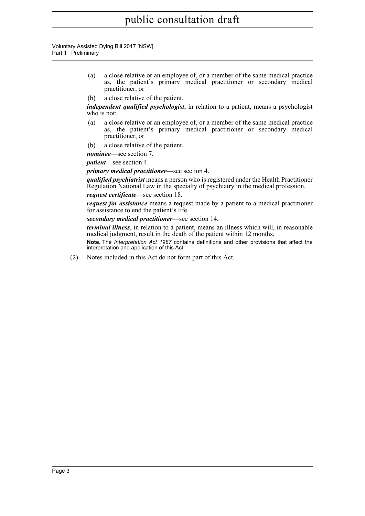Voluntary Assisted Dying Bill 2017 [NSW] Part 1 Preliminary

- (a) a close relative or an employee of, or a member of the same medical practice as, the patient's primary medical practitioner or secondary medical practitioner, or
- (b) a close relative of the patient.

*independent qualified psychologist*, in relation to a patient, means a psychologist who is not:

- (a) a close relative or an employee of, or a member of the same medical practice as, the patient's primary medical practitioner or secondary medical practitioner, or
- (b) a close relative of the patient.

*nominee*—see section 7.

*patient*—see section 4.

#### *primary medical practitioner*—see section 4.

*qualified psychiatrist* means a person who is registered under the Health Practitioner Regulation National Law in the specialty of psychiatry in the medical profession.

#### *request certificate*—see section 18.

*request for assistance* means a request made by a patient to a medical practitioner for assistance to end the patient's life.

#### *secondary medical practitioner*—see section 14.

*terminal illness*, in relation to a patient, means an illness which will, in reasonable medical judgment, result in the death of the patient within 12 months.

**Note.** The *Interpretation Act 1987* contains definitions and other provisions that affect the interpretation and application of this Act.

(2) Notes included in this Act do not form part of this Act.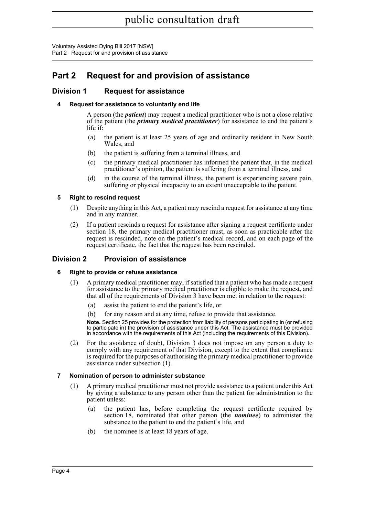### <span id="page-9-0"></span>**Part 2 Request for and provision of assistance**

#### <span id="page-9-2"></span><span id="page-9-1"></span>**Division 1 Request for assistance**

#### **4 Request for assistance to voluntarily end life**

A person (the *patient*) may request a medical practitioner who is not a close relative of the patient (the *primary medical practitioner*) for assistance to end the patient's life if:

- (a) the patient is at least 25 years of age and ordinarily resident in New South Wales, and
- (b) the patient is suffering from a terminal illness, and
- (c) the primary medical practitioner has informed the patient that, in the medical practitioner's opinion, the patient is suffering from a terminal illness, and
- (d) in the course of the terminal illness, the patient is experiencing severe pain, suffering or physical incapacity to an extent unacceptable to the patient.

#### <span id="page-9-3"></span>**5 Right to rescind request**

- (1) Despite anything in this Act, a patient may rescind a request for assistance at any time and in any manner.
- (2) If a patient rescinds a request for assistance after signing a request certificate under section 18, the primary medical practitioner must, as soon as practicable after the request is rescinded, note on the patient's medical record, and on each page of the request certificate, the fact that the request has been rescinded.

#### <span id="page-9-5"></span><span id="page-9-4"></span>**Division 2 Provision of assistance**

#### **6 Right to provide or refuse assistance**

- (1) A primary medical practitioner may, if satisfied that a patient who has made a request for assistance to the primary medical practitioner is eligible to make the request, and that all of the requirements of Division 3 have been met in relation to the request:
	- (a) assist the patient to end the patient's life, or
	- (b) for any reason and at any time, refuse to provide that assistance.

**Note.** Section 25 provides for the protection from liability of persons participating in (or refusing to participate in) the provision of assistance under this Act. The assistance must be provided in accordance with the requirements of this Act (including the requirements of this Division).

(2) For the avoidance of doubt, Division 3 does not impose on any person a duty to comply with any requirement of that Division, except to the extent that compliance is required for the purposes of authorising the primary medical practitioner to provide assistance under subsection (1).

#### <span id="page-9-6"></span>**7 Nomination of person to administer substance**

- (1) A primary medical practitioner must not provide assistance to a patient under this Act by giving a substance to any person other than the patient for administration to the patient unless:
	- (a) the patient has, before completing the request certificate required by section 18, nominated that other person (the *nominee*) to administer the substance to the patient to end the patient's life, and
	- (b) the nominee is at least 18 years of age.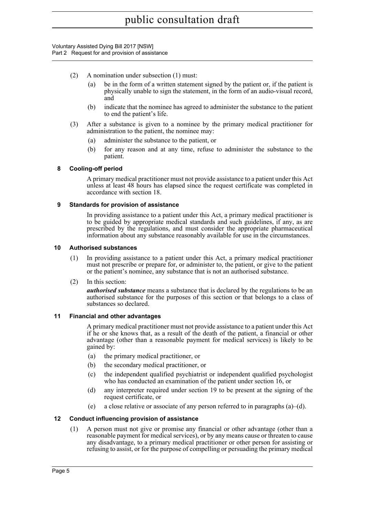- (2) A nomination under subsection (1) must:
	- (a) be in the form of a written statement signed by the patient or, if the patient is physically unable to sign the statement, in the form of an audio-visual record, and
	- (b) indicate that the nominee has agreed to administer the substance to the patient to end the patient's life.
- (3) After a substance is given to a nominee by the primary medical practitioner for administration to the patient, the nominee may:
	- (a) administer the substance to the patient, or
	- (b) for any reason and at any time, refuse to administer the substance to the patient.

#### <span id="page-10-0"></span>**8 Cooling-off period**

A primary medical practitioner must not provide assistance to a patient under this Act unless at least 48 hours has elapsed since the request certificate was completed in accordance with section 18.

#### <span id="page-10-1"></span>**9 Standards for provision of assistance**

In providing assistance to a patient under this Act, a primary medical practitioner is to be guided by appropriate medical standards and such guidelines, if any, as are prescribed by the regulations, and must consider the appropriate pharmaceutical information about any substance reasonably available for use in the circumstances.

#### <span id="page-10-2"></span>**10 Authorised substances**

- (1) In providing assistance to a patient under this Act, a primary medical practitioner must not prescribe or prepare for, or administer to, the patient, or give to the patient or the patient's nominee, any substance that is not an authorised substance.
- (2) In this section:

*authorised substance* means a substance that is declared by the regulations to be an authorised substance for the purposes of this section or that belongs to a class of substances so declared.

#### <span id="page-10-3"></span>**11 Financial and other advantages**

A primary medical practitioner must not provide assistance to a patient under this Act if he or she knows that, as a result of the death of the patient, a financial or other advantage (other than a reasonable payment for medical services) is likely to be gained by:

- (a) the primary medical practitioner, or
- (b) the secondary medical practitioner, or
- (c) the independent qualified psychiatrist or independent qualified psychologist who has conducted an examination of the patient under section 16, or
- (d) any interpreter required under section 19 to be present at the signing of the request certificate, or
- (e) a close relative or associate of any person referred to in paragraphs (a)–(d).

#### <span id="page-10-4"></span>**12 Conduct influencing provision of assistance**

(1) A person must not give or promise any financial or other advantage (other than a reasonable payment for medical services), or by any means cause or threaten to cause any disadvantage, to a primary medical practitioner or other person for assisting or refusing to assist, or for the purpose of compelling or persuading the primary medical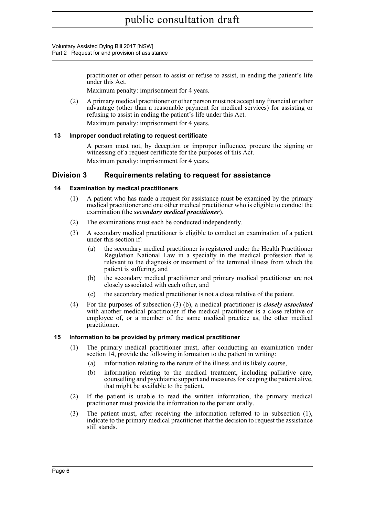> practitioner or other person to assist or refuse to assist, in ending the patient's life under this Act.

Maximum penalty: imprisonment for 4 years.

(2) A primary medical practitioner or other person must not accept any financial or other advantage (other than a reasonable payment for medical services) for assisting or refusing to assist in ending the patient's life under this Act.

Maximum penalty: imprisonment for 4 years.

#### <span id="page-11-0"></span>**13 Improper conduct relating to request certificate**

A person must not, by deception or improper influence, procure the signing or witnessing of a request certificate for the purposes of this Act. Maximum penalty: imprisonment for 4 years.

#### <span id="page-11-1"></span>**Division 3 Requirements relating to request for assistance**

#### <span id="page-11-2"></span>**14 Examination by medical practitioners**

- (1) A patient who has made a request for assistance must be examined by the primary medical practitioner and one other medical practitioner who is eligible to conduct the examination (the *secondary medical practitioner*).
- (2) The examinations must each be conducted independently.
- (3) A secondary medical practitioner is eligible to conduct an examination of a patient under this section if:
	- (a) the secondary medical practitioner is registered under the Health Practitioner Regulation National Law in a specialty in the medical profession that is relevant to the diagnosis or treatment of the terminal illness from which the patient is suffering, and
	- (b) the secondary medical practitioner and primary medical practitioner are not closely associated with each other, and
	- (c) the secondary medical practitioner is not a close relative of the patient.
- (4) For the purposes of subsection (3) (b), a medical practitioner is *closely associated* with another medical practitioner if the medical practitioner is a close relative or employee of, or a member of the same medical practice as, the other medical practitioner.

#### <span id="page-11-3"></span>**15 Information to be provided by primary medical practitioner**

- (1) The primary medical practitioner must, after conducting an examination under section 14, provide the following information to the patient in writing:
	- (a) information relating to the nature of the illness and its likely course,
	- (b) information relating to the medical treatment, including palliative care, counselling and psychiatric support and measures for keeping the patient alive, that might be available to the patient.
- (2) If the patient is unable to read the written information, the primary medical practitioner must provide the information to the patient orally.
- (3) The patient must, after receiving the information referred to in subsection (1), indicate to the primary medical practitioner that the decision to request the assistance still stands.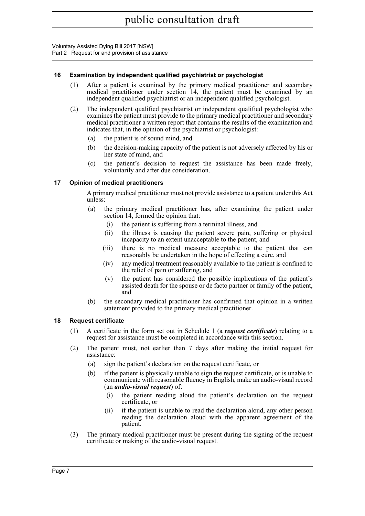#### <span id="page-12-0"></span>**16 Examination by independent qualified psychiatrist or psychologist**

- (1) After a patient is examined by the primary medical practitioner and secondary medical practitioner under section 14, the patient must be examined by an independent qualified psychiatrist or an independent qualified psychologist.
- (2) The independent qualified psychiatrist or independent qualified psychologist who examines the patient must provide to the primary medical practitioner and secondary medical practitioner a written report that contains the results of the examination and indicates that, in the opinion of the psychiatrist or psychologist:
	- (a) the patient is of sound mind, and
	- (b) the decision-making capacity of the patient is not adversely affected by his or her state of mind, and
	- (c) the patient's decision to request the assistance has been made freely, voluntarily and after due consideration.

#### <span id="page-12-1"></span>**17 Opinion of medical practitioners**

A primary medical practitioner must not provide assistance to a patient under this Act unless:

- (a) the primary medical practitioner has, after examining the patient under section 14, formed the opinion that:
	- (i) the patient is suffering from a terminal illness, and
	- (ii) the illness is causing the patient severe pain, suffering or physical incapacity to an extent unacceptable to the patient, and
	- (iii) there is no medical measure acceptable to the patient that can reasonably be undertaken in the hope of effecting a cure, and
	- (iv) any medical treatment reasonably available to the patient is confined to the relief of pain or suffering, and
	- (v) the patient has considered the possible implications of the patient's assisted death for the spouse or de facto partner or family of the patient, and
- (b) the secondary medical practitioner has confirmed that opinion in a written statement provided to the primary medical practitioner.

#### <span id="page-12-2"></span>**18 Request certificate**

- (1) A certificate in the form set out in Schedule 1 (a *request certificate*) relating to a request for assistance must be completed in accordance with this section.
- (2) The patient must, not earlier than 7 days after making the initial request for assistance:
	- (a) sign the patient's declaration on the request certificate, or
	- (b) if the patient is physically unable to sign the request certificate, or is unable to communicate with reasonable fluency in English, make an audio-visual record (an *audio-visual request*) of:
		- (i) the patient reading aloud the patient's declaration on the request certificate, or
		- (ii) if the patient is unable to read the declaration aloud, any other person reading the declaration aloud with the apparent agreement of the patient.
- (3) The primary medical practitioner must be present during the signing of the request certificate or making of the audio-visual request.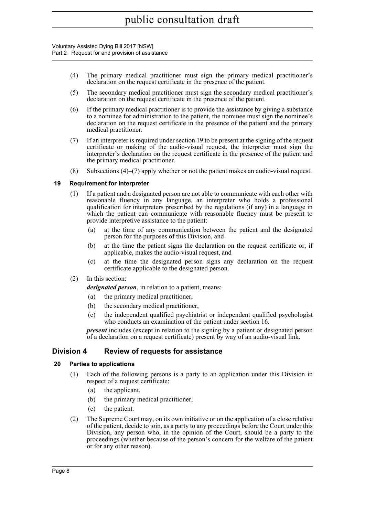- (4) The primary medical practitioner must sign the primary medical practitioner's declaration on the request certificate in the presence of the patient.
- (5) The secondary medical practitioner must sign the secondary medical practitioner's declaration on the request certificate in the presence of the patient.
- (6) If the primary medical practitioner is to provide the assistance by giving a substance to a nominee for administration to the patient, the nominee must sign the nominee's declaration on the request certificate in the presence of the patient and the primary medical practitioner.
- (7) If an interpreter is required under section 19 to be present at the signing of the request certificate or making of the audio-visual request, the interpreter must sign the interpreter's declaration on the request certificate in the presence of the patient and the primary medical practitioner.
- (8) Subsections (4)–(7) apply whether or not the patient makes an audio-visual request.

#### <span id="page-13-0"></span>**19 Requirement for interpreter**

- (1) If a patient and a designated person are not able to communicate with each other with reasonable fluency in any language, an interpreter who holds a professional qualification for interpreters prescribed by the regulations (if any) in a language in which the patient can communicate with reasonable fluency must be present to provide interpretive assistance to the patient:
	- (a) at the time of any communication between the patient and the designated person for the purposes of this Division, and
	- (b) at the time the patient signs the declaration on the request certificate or, if applicable, makes the audio-visual request, and
	- (c) at the time the designated person signs any declaration on the request certificate applicable to the designated person.
- (2) In this section:

*designated person*, in relation to a patient, means:

- (a) the primary medical practitioner,
- (b) the secondary medical practitioner,
- (c) the independent qualified psychiatrist or independent qualified psychologist who conducts an examination of the patient under section 16.

*present* includes (except in relation to the signing by a patient or designated person of a declaration on a request certificate) present by way of an audio-visual link.

#### <span id="page-13-1"></span>**Division 4 Review of requests for assistance**

#### <span id="page-13-2"></span>**20 Parties to applications**

- (1) Each of the following persons is a party to an application under this Division in respect of a request certificate:
	- (a) the applicant,
	- (b) the primary medical practitioner,
	- (c) the patient.
- (2) The Supreme Court may, on its own initiative or on the application of a close relative of the patient, decide to join, as a party to any proceedings before the Court under this Division, any person who, in the opinion of the Court, should be a party to the proceedings (whether because of the person's concern for the welfare of the patient or for any other reason).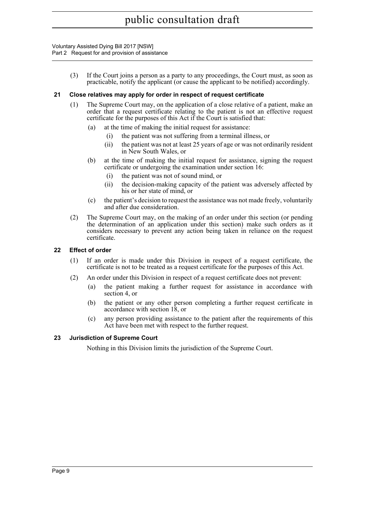Voluntary Assisted Dying Bill 2017 [NSW] Part 2 Request for and provision of assistance

> (3) If the Court joins a person as a party to any proceedings, the Court must, as soon as practicable, notify the applicant (or cause the applicant to be notified) accordingly.

#### <span id="page-14-0"></span>**21 Close relatives may apply for order in respect of request certificate**

- (1) The Supreme Court may, on the application of a close relative of a patient, make an order that a request certificate relating to the patient is not an effective request certificate for the purposes of this Act if the Court is satisfied that:
	- (a) at the time of making the initial request for assistance:
		- (i) the patient was not suffering from a terminal illness, or
		- (ii) the patient was not at least 25 years of age or was not ordinarily resident in New South Wales, or
	- (b) at the time of making the initial request for assistance, signing the request certificate or undergoing the examination under section 16:
		- (i) the patient was not of sound mind, or
		- (ii) the decision-making capacity of the patient was adversely affected by his or her state of mind, or
	- (c) the patient's decision to request the assistance was not made freely, voluntarily and after due consideration.
- (2) The Supreme Court may, on the making of an order under this section (or pending the determination of an application under this section) make such orders as it considers necessary to prevent any action being taken in reliance on the request certificate.

#### <span id="page-14-1"></span>**22 Effect of order**

- (1) If an order is made under this Division in respect of a request certificate, the certificate is not to be treated as a request certificate for the purposes of this Act.
- (2) An order under this Division in respect of a request certificate does not prevent:
	- (a) the patient making a further request for assistance in accordance with section 4, or
	- (b) the patient or any other person completing a further request certificate in accordance with section 18, or
	- (c) any person providing assistance to the patient after the requirements of this Act have been met with respect to the further request.

#### <span id="page-14-2"></span>**23 Jurisdiction of Supreme Court**

Nothing in this Division limits the jurisdiction of the Supreme Court.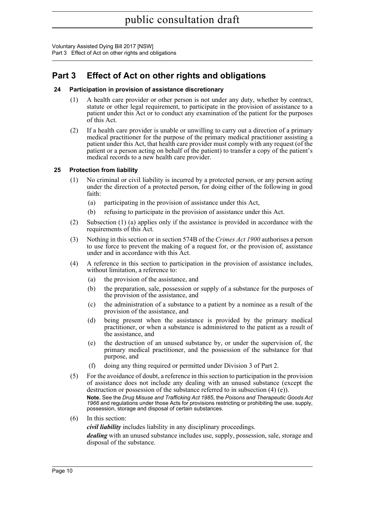Voluntary Assisted Dying Bill 2017 [NSW] Part 3 Effect of Act on other rights and obligations

## <span id="page-15-0"></span>**Part 3 Effect of Act on other rights and obligations**

#### <span id="page-15-1"></span>**24 Participation in provision of assistance discretionary**

- (1) A health care provider or other person is not under any duty, whether by contract, statute or other legal requirement, to participate in the provision of assistance to a patient under this Act or to conduct any examination of the patient for the purposes of this Act.
- (2) If a health care provider is unable or unwilling to carry out a direction of a primary medical practitioner for the purpose of the primary medical practitioner assisting a patient under this Act, that health care provider must comply with any request (of the patient or a person acting on behalf of the patient) to transfer a copy of the patient's medical records to a new health care provider.

#### <span id="page-15-2"></span>**25 Protection from liability**

- (1) No criminal or civil liability is incurred by a protected person, or any person acting under the direction of a protected person, for doing either of the following in good faith:
	- (a) participating in the provision of assistance under this Act,
	- (b) refusing to participate in the provision of assistance under this Act.
- (2) Subsection (1) (a) applies only if the assistance is provided in accordance with the requirements of this Act.
- (3) Nothing in this section or in section 574B of the *Crimes Act 1900* authorises a person to use force to prevent the making of a request for, or the provision of, assistance under and in accordance with this Act.
- (4) A reference in this section to participation in the provision of assistance includes, without limitation, a reference to:
	- (a) the provision of the assistance, and
	- (b) the preparation, sale, possession or supply of a substance for the purposes of the provision of the assistance, and
	- (c) the administration of a substance to a patient by a nominee as a result of the provision of the assistance, and
	- (d) being present when the assistance is provided by the primary medical practitioner, or when a substance is administered to the patient as a result of the assistance, and
	- (e) the destruction of an unused substance by, or under the supervision of, the primary medical practitioner, and the possession of the substance for that purpose, and
	- (f) doing any thing required or permitted under Division 3 of Part 2.
- (5) For the avoidance of doubt, a reference in this section to participation in the provision of assistance does not include any dealing with an unused substance (except the destruction or possession of the substance referred to in subsection (4) (e)).

**Note.** See the *Drug Misuse and Trafficking Act 1985*, the *Poisons and Therapeutic Goods Act 1966* and regulations under those Acts for provisions restricting or prohibiting the use, supply, possession, storage and disposal of certain substances.

(6) In this section:

*civil liability* includes liability in any disciplinary proceedings.

*dealing* with an unused substance includes use, supply, possession, sale, storage and disposal of the substance.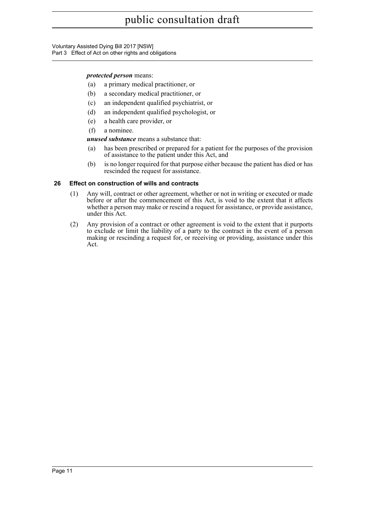Voluntary Assisted Dying Bill 2017 [NSW] Part 3 Effect of Act on other rights and obligations

#### *protected person* means:

- (a) a primary medical practitioner, or
- (b) a secondary medical practitioner, or
- (c) an independent qualified psychiatrist, or
- (d) an independent qualified psychologist, or
- (e) a health care provider, or
- (f) a nominee.

*unused substance* means a substance that:

- (a) has been prescribed or prepared for a patient for the purposes of the provision of assistance to the patient under this Act, and
- (b) is no longer required for that purpose either because the patient has died or has rescinded the request for assistance.

#### <span id="page-16-0"></span>**26 Effect on construction of wills and contracts**

- (1) Any will, contract or other agreement, whether or not in writing or executed or made before or after the commencement of this Act, is void to the extent that it affects whether a person may make or rescind a request for assistance, or provide assistance, under this Act.
- (2) Any provision of a contract or other agreement is void to the extent that it purports to exclude or limit the liability of a party to the contract in the event of a person making or rescinding a request for, or receiving or providing, assistance under this Act.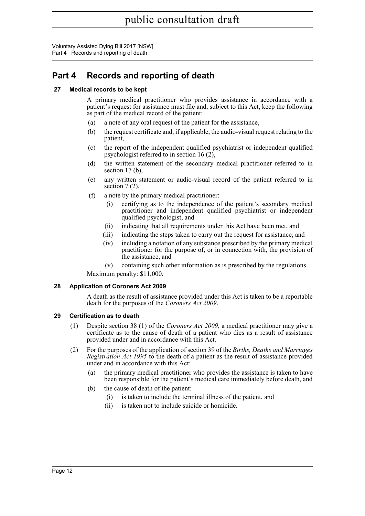Voluntary Assisted Dying Bill 2017 [NSW] Part 4 Records and reporting of death

## <span id="page-17-0"></span>**Part 4 Records and reporting of death**

#### <span id="page-17-1"></span>**27 Medical records to be kept**

A primary medical practitioner who provides assistance in accordance with a patient's request for assistance must file and, subject to this Act, keep the following as part of the medical record of the patient:

- (a) a note of any oral request of the patient for the assistance,
- (b) the request certificate and, if applicable, the audio-visual request relating to the patient,
- (c) the report of the independent qualified psychiatrist or independent qualified psychologist referred to in section 16 (2),
- (d) the written statement of the secondary medical practitioner referred to in section 17 (b).
- (e) any written statement or audio-visual record of the patient referred to in section  $7(2)$ ,
- (f) a note by the primary medical practitioner:
	- (i) certifying as to the independence of the patient's secondary medical practitioner and independent qualified psychiatrist or independent qualified psychologist, and
	- (ii) indicating that all requirements under this Act have been met, and
	- (iii) indicating the steps taken to carry out the request for assistance, and
	- (iv) including a notation of any substance prescribed by the primary medical practitioner for the purpose of, or in connection with, the provision of the assistance, and
	- (v) containing such other information as is prescribed by the regulations.

Maximum penalty: \$11,000.

#### <span id="page-17-2"></span>**28 Application of Coroners Act 2009**

A death as the result of assistance provided under this Act is taken to be a reportable death for the purposes of the *Coroners Act 2009*.

#### <span id="page-17-3"></span>**29 Certification as to death**

- (1) Despite section 38 (1) of the *Coroners Act 2009*, a medical practitioner may give a certificate as to the cause of death of a patient who dies as a result of assistance provided under and in accordance with this Act.
- (2) For the purposes of the application of section 39 of the *Births, Deaths and Marriages Registration Act 1995* to the death of a patient as the result of assistance provided under and in accordance with this Act:
	- (a) the primary medical practitioner who provides the assistance is taken to have been responsible for the patient's medical care immediately before death, and
	- (b) the cause of death of the patient:
		- (i) is taken to include the terminal illness of the patient, and
		- (ii) is taken not to include suicide or homicide.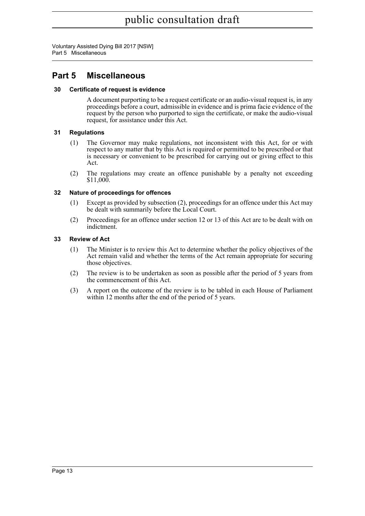Voluntary Assisted Dying Bill 2017 [NSW] Part 5 Miscellaneous

### <span id="page-18-0"></span>**Part 5 Miscellaneous**

#### <span id="page-18-1"></span>**30 Certificate of request is evidence**

A document purporting to be a request certificate or an audio-visual request is, in any proceedings before a court, admissible in evidence and is prima facie evidence of the request by the person who purported to sign the certificate, or make the audio-visual request, for assistance under this Act.

#### <span id="page-18-2"></span>**31 Regulations**

- (1) The Governor may make regulations, not inconsistent with this Act, for or with respect to any matter that by this Act is required or permitted to be prescribed or that is necessary or convenient to be prescribed for carrying out or giving effect to this Act.
- (2) The regulations may create an offence punishable by a penalty not exceeding \$11,000.

#### <span id="page-18-3"></span>**32 Nature of proceedings for offences**

- (1) Except as provided by subsection (2), proceedings for an offence under this Act may be dealt with summarily before the Local Court.
- (2) Proceedings for an offence under section 12 or 13 of this Act are to be dealt with on indictment.

#### <span id="page-18-4"></span>**33 Review of Act**

- (1) The Minister is to review this Act to determine whether the policy objectives of the Act remain valid and whether the terms of the Act remain appropriate for securing those objectives.
- (2) The review is to be undertaken as soon as possible after the period of 5 years from the commencement of this Act.
- (3) A report on the outcome of the review is to be tabled in each House of Parliament within 12 months after the end of the period of 5 years.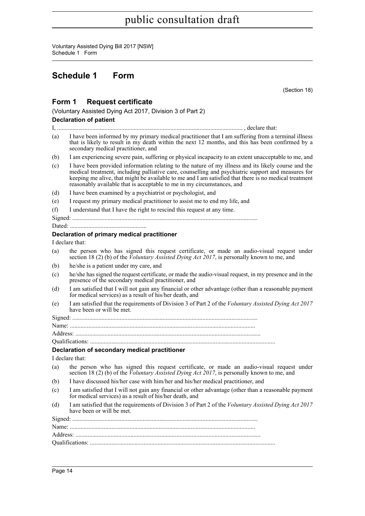Voluntary Assisted Dying Bill 2017 [NSW] Schedule 1 Form

### <span id="page-19-0"></span>**Schedule 1 Form**

(Section 18)

#### **Form 1 Request certificate**

(Voluntary Assisted Dying Act 2017, Division 3 of Part 2)

#### **Declaration of patient**

I, ......................................................................................................................... , declare that:

(a) I have been informed by my primary medical practitioner that I am suffering from a terminal illness that is likely to result in my death within the next 12 months, and this has been confirmed by a secondary medical practitioner, and

(b) I am experiencing severe pain, suffering or physical incapacity to an extent unacceptable to me, and

(c) I have been provided information relating to the nature of my illness and its likely course and the medical treatment, including palliative care, counselling and psychiatric support and measures for keeping me alive, that might be available to me and I am satisfied that there is no medical treatment reasonably available that is acceptable to me in my circumstances, and

(d) I have been examined by a psychiatrist or psychologist, and

- (e) I request my primary medical practitioner to assist me to end my life, and
- (f) I understand that I have the right to rescind this request at any time.

Signed: .........................................................................................................................

Dated: ..................................................

#### **Declaration of primary medical practitioner**

#### I declare that:

- (a) the person who has signed this request certificate, or made an audio-visual request under section 18 (2) (b) of the *Voluntary Assisted Dying Act 2017*, is personally known to me, and
- (b) he/she is a patient under my care, and
- (c) he/she has signed the request certificate, or made the audio-visual request, in my presence and in the presence of the secondary medical practitioner, and
- (d) I am satisfied that I will not gain any financial or other advantage (other than a reasonable payment for medical services) as a result of his/her death, and
- (e) I am satisfied that the requirements of Division 3 of Part 2 of the *Voluntary Assisted Dying Act 2017* have been or will be met.

Signed: .........................................................................................................................

Name: .........................................................................................................................

Address: .........................................................................................................................

Qualifications: .........................................................................................................................

#### **Declaration of secondary medical practitioner**

I declare that:

- (a) the person who has signed this request certificate, or made an audio-visual request under section 18 (2) (b) of the *Voluntary Assisted Dying Act 2017*, is personally known to me, and
- (b) I have discussed his/her case with him/her and his/her medical practitioner, and
- (c) I am satisfied that I will not gain any financial or other advantage (other than a reasonable payment for medical services) as a result of his/her death, and
- (d) I am satisfied that the requirements of Division 3 of Part 2 of the *Voluntary Assisted Dying Act 2017* have been or will be met.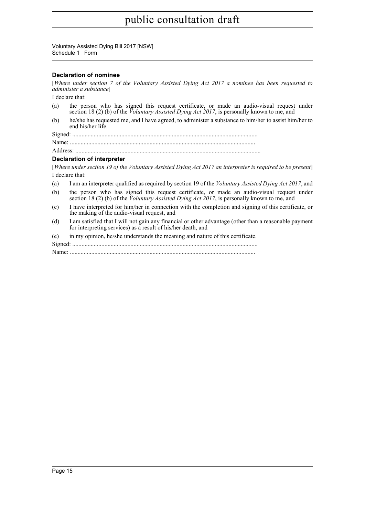Voluntary Assisted Dying Bill 2017 [NSW] Schedule 1 Form

#### **Declaration of nominee**

[*Where under section 7 of the Voluntary Assisted Dying Act 2017 a nominee has been requested to administer a substance*]

I declare that:

- (a) the person who has signed this request certificate, or made an audio-visual request under section 18 (2) (b) of the *Voluntary Assisted Dying Act 2017*, is personally known to me, and
- (b) he/she has requested me, and I have agreed, to administer a substance to him/her to assist him/her to end his/her life.

Signed: .........................................................................................................................

Name: .........................................................................................................................

Address: .........................................................................................................................

#### **Declaration of interpreter**

[*Where under section 19 of the Voluntary Assisted Dying Act 2017 an interpreter is required to be present*] I declare that:

- (a) I am an interpreter qualified as required by section 19 of the *Voluntary Assisted Dying Act 2017*, and
- (b) the person who has signed this request certificate, or made an audio-visual request under section 18 (2) (b) of the *Voluntary Assisted Dying Act 2017*, is personally known to me, and
- (c) I have interpreted for him/her in connection with the completion and signing of this certificate, or the making of the audio-visual request, and
- (d) I am satisfied that I will not gain any financial or other advantage (other than a reasonable payment for interpreting services) as a result of his/her death, and

(e) in my opinion, he/she understands the meaning and nature of this certificate.

Signed: .........................................................................................................................

Name: .........................................................................................................................